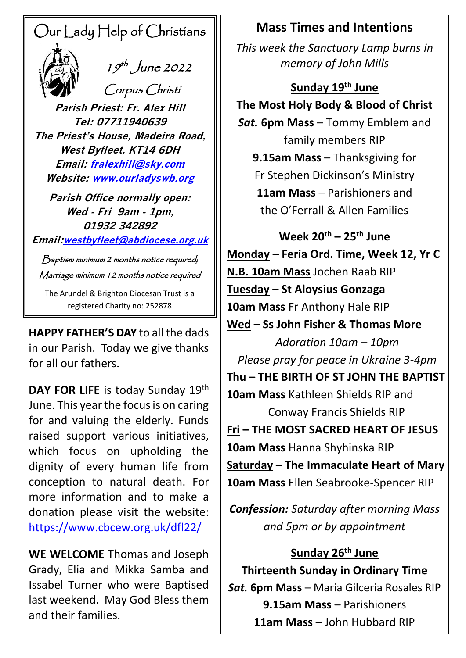# Our Lady Help of Christians



 $\frac{1}{2}$   $\frac{1}{9}$   $\frac{1}{9}$  June 2022

Corpus Christi

**Parish Priest: Fr. Alex Hill Tel: 07711940639 The Priest's House, Madeira Road, West Byfleet, KT14 6DH Email: [fralexhill@sky.com](mailto:fralexhill@sky.com) Website: [www.ourladyswb.org](http://www.ourladyswb.org/)**

**Parish Office normally open: Wed - Fri 9am - 1pm, 01932 342892**

**Email:[westbyfleet@abdiocese.org.uk](mailto:westbyfleet@abdiocese.org.uk)**

Baptism minimum 2 months notice required; Marriage minimum 12 months notice required

The Arundel & Brighton Diocesan Trust is a registered Charity no: 252878

**HAPPY FATHER'S DAY**  to all the dads in our Parish. Today we give thanks for all our fathers.

DAY FOR LIFE is today Sunday 19<sup>th</sup> June. This year the focus is on caring for and valuing the elderly. Funds raised support various initiatives, which focus on upholding the dignity of every human life from conception to natural death. For more information and to make a donation please visit the website: <https://www.cbcew.org.uk/dfl22/>

**WE WELCOME** Thomas and Joseph Grady, Elia and Mikka Samba and Issabel Turner who were Baptised last weekend. May God Bless them and their families.

### **Mass Times and Intentions**

*This week the Sanctuary Lamp burns in memory of John Mills*

### **Sunday 19th June**

**The Most Holy Body & Blood of Christ**

*Sat.* **6pm Mass** – Tommy Emblem and family members RIP **9.15am Mass** – Thanksgiving for Fr Stephen Dickinson's Ministry **11am Mass** – Parishioners and the O'Ferrall & Allen Families

**Week 20th – 25th June Monday – Feria Ord. Time, Week 12, Yr C N.B. 10am Mass** Jochen Raab RIP **Tuesday – St Aloysius Gonzaga 10am Mass** Fr Anthony Hale RIP **Wed – Ss John Fisher & Thomas More** *Adoration 10am – 10pm Please pray for peace in Ukraine 3-4pm* **Thu – THE BIRTH OF ST JOHN THE BAPTIST 10am Mass** Kathleen Shields RIP and Conway Francis Shields RIP **Fri – THE MOST SACRED HEART OF JESUS 10am Mass** Hanna Shyhinska RIP **Saturday – The Immaculate Heart of Mary 10am Mass** Ellen Seabrooke-Spencer RIP

*Confession: Saturday after morning Mass and 5pm or by appointment*

### **Sunday 26th June**

**Thirteenth Sunday in Ordinary Time** *Sat.* **6pm Mass** – Maria Gilceria Rosales RIP **9.15am Mass** – Parishioners **11am Mass** – John Hubbard RIP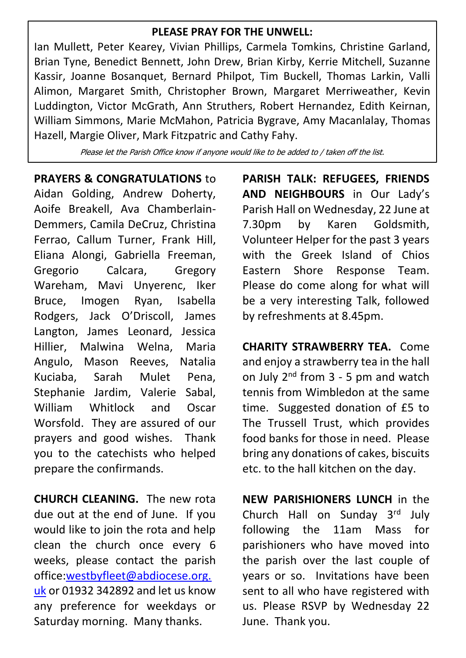#### **PLEASE PRAY FOR THE UNWELL:**

Ian Mullett, Peter Kearey, Vivian Phillips, Carmela Tomkins, Christine Garland, Brian Tyne, Benedict Bennett, John Drew, Brian Kirby, Kerrie Mitchell, Suzanne Kassir, Joanne Bosanquet, Bernard Philpot, Tim Buckell, Thomas Larkin, Valli Alimon, Margaret Smith, Christopher Brown, Margaret Merriweather, Kevin Luddington, Victor McGrath, Ann Struthers, Robert Hernandez, Edith Keirnan, William Simmons, Marie McMahon, Patricia Bygrave, Amy Macanlalay, Thomas Hazell, Margie Oliver, Mark Fitzpatric and Cathy Fahy.

Please let the Parish Office know if anyone would like to be added to / taken off the list.

#### **PRAYERS & CONGRATULATIONS** to

Aidan Golding, Andrew Doherty, Aoife Breakell, Ava Chamberlain-Demmers, Camila DeCruz, Christina Ferrao, Callum Turner, Frank Hill, Eliana Alongi, Gabriella Freeman, Gregorio Calcara, Gregory Wareham, Mavi Unyerenc, Iker Bruce, Imogen Ryan, Isabella Rodgers, Jack O'Driscoll, James Langton, James Leonard, Jessica Hillier, Malwina Welna, Maria Angulo, Mason Reeves, Natalia Kuciaba, Sarah Mulet Pena, Stephanie Jardim, Valerie Sabal, William Whitlock and Oscar Worsfold. They are assured of our prayers and good wishes. Thank you to the catechists who helped prepare the confirmands.

**CHURCH CLEANING.** The new rota due out at the end of June. If you would like to join the rota and help clean the church once every 6 weeks, please contact the parish office[:westbyfleet@abdiocese.org.](mailto:westbyfleet@abdiocese.org.uk) [uk](mailto:westbyfleet@abdiocese.org.uk) or 01932 342892 and let us know any preference for weekdays or Saturday morning. Many thanks.

**PARISH TALK: REFUGEES, FRIENDS AND NEIGHBOURS** in Our Lady's Parish Hall on Wednesday, 22 June at 7.30pm by Karen Goldsmith, Volunteer Helper for the past 3 years with the Greek Island of Chios Eastern Shore Response Team. Please do come along for what will be a very interesting Talk, followed by refreshments at 8.45pm.

**CHARITY STRAWBERRY TEA.** Come and enjoy a strawberry tea in the hall on July  $2^{nd}$  from  $3 - 5$  pm and watch tennis from Wimbledon at the same time. Suggested donation of £5 to The Trussell Trust, which provides food banks for those in need. Please bring any donations of cakes, biscuits etc. to the hall kitchen on the day.

**NEW PARISHIONERS LUNCH** in the Church Hall on Sunday 3rd July following the 11am Mass for parishioners who have moved into the parish over the last couple of years or so. Invitations have been sent to all who have registered with us. Please RSVP by Wednesday 22 June. Thank you.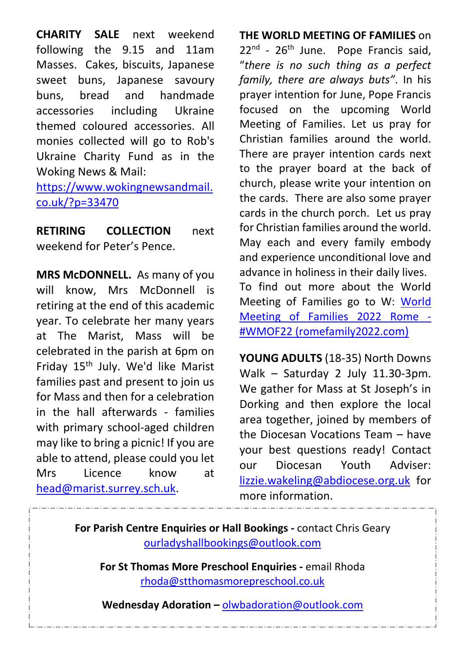**CHARITY SALE** next weekend following the 9.15 and 11am Masses. Cakes, biscuits, Japanese sweet buns, Japanese savoury buns, bread and handmade accessories including Ukraine themed coloured accessories. All monies collected will go to Rob's Ukraine Charity Fund as in the Woking News & Mail:

[https://www.wokingnewsandmail.](https://www.wokingnewsandmail.co.uk/?p=33470) [co.uk/?p=33470](https://www.wokingnewsandmail.co.uk/?p=33470)

**RETIRING COLLECTION** next weekend for Peter's Pence.

**MRS McDONNELL.** As many of you will know, Mrs McDonnell is retiring at the end of this academic year. To celebrate her many years at The Marist, Mass will be celebrated in the parish at 6pm on Friday 15th July. We'd like Marist families past and present to join us for Mass and then for a celebration in the hall afterwards - families with primary school-aged children may like to bring a picnic! If you are able to attend, please could you let Mrs Licence know at [head@marist.surrey.sch.uk.](mailto:head@marist.surrey.sch.uk)

## **THE WORLD MEETING OF FAMILIES** on

22<sup>nd</sup> - 26<sup>th</sup> June. Pope Francis said, "*there is no such thing as a perfect family, there are always buts"*. In his prayer intention for June, Pope Francis focused on the upcoming World Meeting of Families. Let us pray for Christian families around the world. There are prayer intention cards next to the prayer board at the back of church, please write your intention on the cards. There are also some prayer cards in the church porch. Let us pray for Christian families around the world. May each and every family embody and experience unconditional love and advance in holiness in their daily lives. To find out more about the World Meeting of Families go to W: [World](https://abdiocese-my.sharepoint.com/personal/westbyfleet_abdiocese_org_uk/Documents/Documents/Secretary)  [Meeting of Families](https://abdiocese-my.sharepoint.com/personal/westbyfleet_abdiocese_org_uk/Documents/Documents/Secretary) 2022 Rome - [#WMOF22 \(romefamily2022.c](https://abdiocese-my.sharepoint.com/personal/westbyfleet_abdiocese_org_uk/Documents/Documents/Secretary)om)

**YOUNG ADULTS** (18-35) North Downs Walk – Saturday 2 July 11.30-3pm. We gather for Mass at St Joseph's in Dorking and then explore the local area together, joined by members of the Diocesan Vocations Team – have your best questions ready! Contact our Diocesan Youth Adviser: [lizzie.wakeling@abdiocese.org.uk](mailto:lizzie.wakeling@abdiocese.org.uk) for more information.

**For Parish Centre Enquiries or Hall Bookings -** contact Chris Geary [ourladyshallbookings@outlook.com](mailto:ourladyshallbookings@outlook.com)

**For St Thomas More Preschool Enquiries -** email Rhoda [rhoda@stthomasmorepreschool.co.uk](mailto:rhoda@stthomasmorepreschool.co.uk)

**Wednesday Adoration –** [olwbadoration@outlook.com](mailto:olwbadoration@outlook.com)